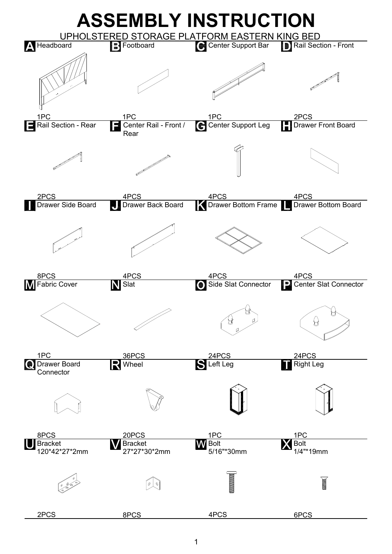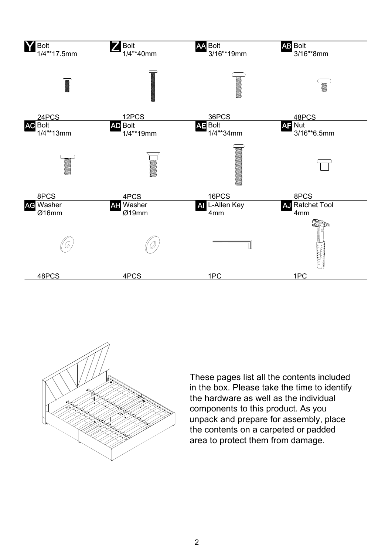



These pages list all the contents included in the box. Please take the time to identify the hardware as well as the individual components to this product. As you unpack and prepare for assembly, place the contents on a carpeted or padded area to protect them from damage.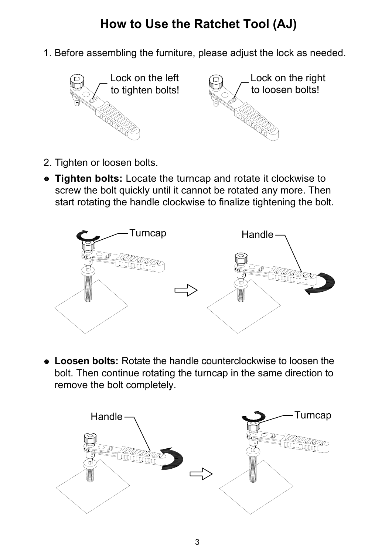## **How to Use the Ratchet Tool (AJ)**

1. Before assembling the furniture, please adjust the lock as needed.



- 2. Tighten or loosen bolts.
- **Tighten bolts:** Locate the turncap and rotate it clockwise to screw the bolt quickly until it cannot be rotated any more. Then start rotating the handle clockwise to finalize tightening the bolt.



 **Loosen bolts:** Rotate the handle counterclockwise to loosen the bolt. Then continue rotating the turncap in the same direction to remove the bolt completely.

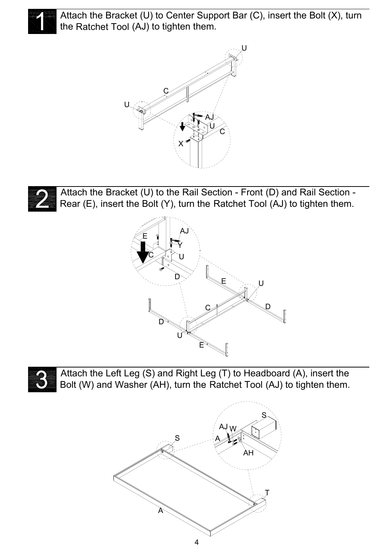

Attach the Bracket (U) to Center Support Bar (C), insert the Bolt (X), turn the Ratchet Tool (AJ) to tighten them.





Attach the Bracket (U) to the Rail Section - Front (D) and Rail Section - Rear (E), insert the Bolt (Y), turn the Ratchet Tool (AJ) to tighten them.





Attach the Left Leg (S) and Right Leg (T) to Headboard (A), insert the Bolt (W) and Washer (AH), turn the Ratchet Tool (AJ) to tighten them.

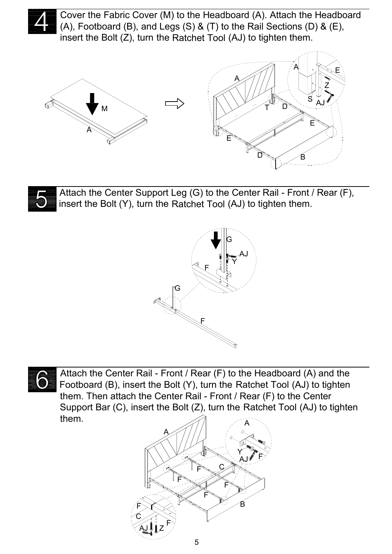

Cover the Fabric Cover (M) to the Headboard (A). Attach the Headboard (A), Footboard (B), and Legs (S) & (T) to the Rail Sections (D) & (E), insert the Bolt (Z), turn the Ratchet Tool (AJ) to tighten them.





Attach the Center Support Leg (G) to the Center Rail - Front / Rear (F), insert the Bolt (Y), turn the Ratchet Tool (AJ) to tighten them.





Attach the Center Rail - Front / Rear (F) to the Headboard (A) and the Footboard (B), insert the Bolt (Y), turn the Ratchet Tool (AJ) to tighten them. Then attach the Center Rail - Front / Rear (F) to the Center Support Bar (C), insert the Bolt (Z), turn the Ratchet Tool (AJ) to tighten them.

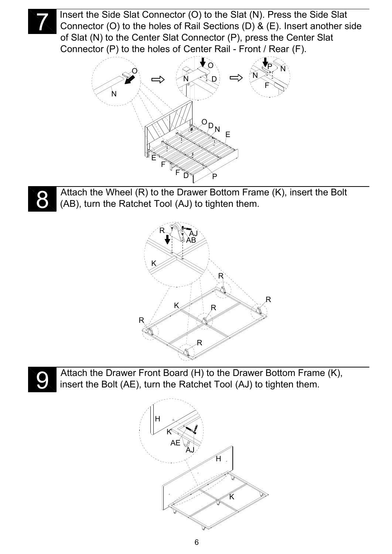

Insert the Side Slat Connector (O) to the Slat (N). Press the Side Slat Connector (O) to the holes of Rail Sections (D) & (E). Insert another side of Slat (N) to the Center Slat Connector (P), press the Center Slat Connector (P) to the holes of Center Rail - Front / Rear (F).





Attach the Wheel (R) to the Drawer Bottom Frame (K), insert the Bolt (AB), turn the Ratchet Tool (AJ) to tighten them.





Attach the Drawer Front Board (H) to the Drawer Bottom Frame (K), insert the Bolt (AE), turn the Ratchet Tool (AJ) to tighten them.

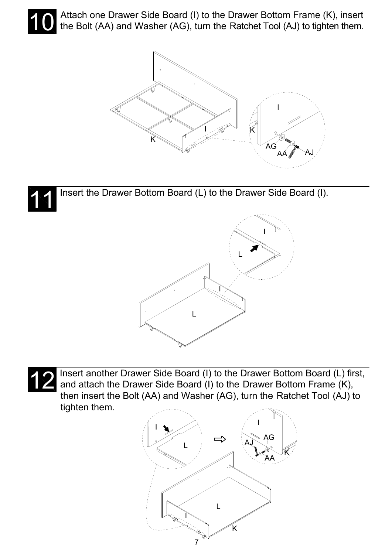

Attach one Drawer Side Board (I) to the Drawer Bottom Frame (K), insert the Bolt (AA) and Washer (AG), turn the Ratchet Tool (AJ) to tighten them.



Insert the Drawer Bottom Board (L) to the Drawer Side Board (I). 11





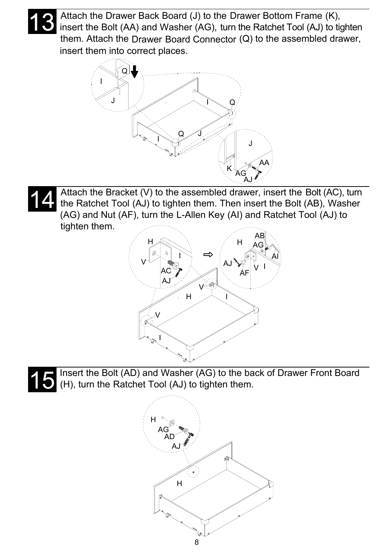

Attach the Drawer Back Board (J) to the Drawer Bottom Frame (K), insert the Bolt (AA) and Washer (AG), turn the Ratchet Tool (AJ) to tighten them. Attach the Drawer Board Connector (Q) to the assembled drawer, insert them into correct places.